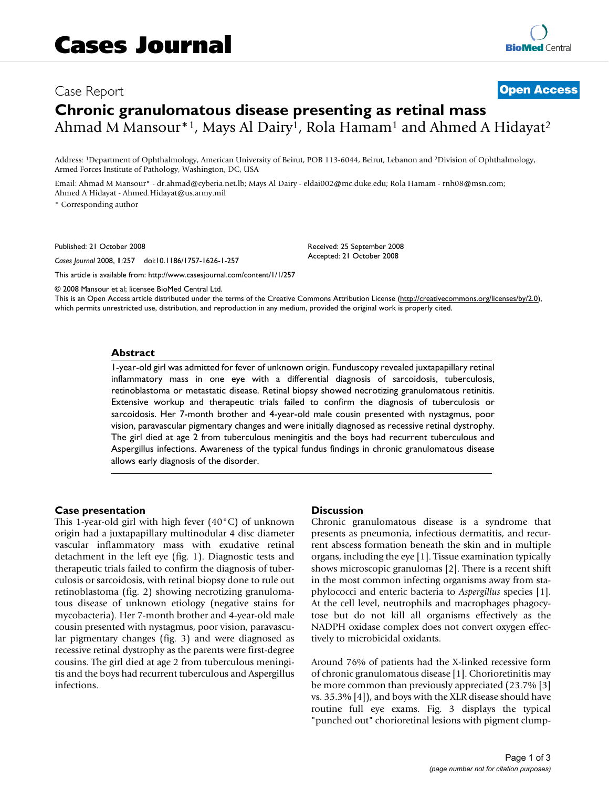# Case Report **[Open Access](http://www.biomedcentral.com/info/about/charter/) Chronic granulomatous disease presenting as retinal mass** Ahmad M Mansour<sup>\*1</sup>, Mays Al Dairy<sup>1</sup>, Rola Hamam<sup>1</sup> and Ahmed A Hidayat<sup>2</sup>

Address: 1Department of Ophthalmology, American University of Beirut, POB 113-6044, Beirut, Lebanon and 2Division of Ophthalmology, Armed Forces Institute of Pathology, Washington, DC, USA

Email: Ahmad M Mansour\* - dr.ahmad@cyberia.net.lb; Mays Al Dairy - eldai002@mc.duke.edu; Rola Hamam - rnh08@msn.com; Ahmed A Hidayat - Ahmed.Hidayat@us.army.mil

\* Corresponding author

Published: 21 October 2008

*Cases Journal* 2008, **1**:257 doi:10.1186/1757-1626-1-257

[This article is available from: http://www.casesjournal.com/content/1/1/257](http://www.casesjournal.com/content/1/1/257)

© 2008 Mansour et al; licensee BioMed Central Ltd.

This is an Open Access article distributed under the terms of the Creative Commons Attribution License [\(http://creativecommons.org/licenses/by/2.0\)](http://creativecommons.org/licenses/by/2.0), which permits unrestricted use, distribution, and reproduction in any medium, provided the original work is properly cited.

Received: 25 September 2008 Accepted: 21 October 2008

#### **Abstract**

1-year-old girl was admitted for fever of unknown origin. Funduscopy revealed juxtapapillary retinal inflammatory mass in one eye with a differential diagnosis of sarcoidosis, tuberculosis, retinoblastoma or metastatic disease. Retinal biopsy showed necrotizing granulomatous retinitis. Extensive workup and therapeutic trials failed to confirm the diagnosis of tuberculosis or sarcoidosis. Her 7-month brother and 4-year-old male cousin presented with nystagmus, poor vision, paravascular pigmentary changes and were initially diagnosed as recessive retinal dystrophy. The girl died at age 2 from tuberculous meningitis and the boys had recurrent tuberculous and Aspergillus infections. Awareness of the typical fundus findings in chronic granulomatous disease allows early diagnosis of the disorder.

### **Case presentation**

This 1-year-old girl with high fever (40°C) of unknown origin had a juxtapapillary multinodular 4 disc diameter vascular inflammatory mass with exudative retinal detachment in the left eye (fig. 1). Diagnostic tests and therapeutic trials failed to confirm the diagnosis of tuberculosis or sarcoidosis, with retinal biopsy done to rule out retinoblastoma (fig. 2) showing necrotizing granulomatous disease of unknown etiology (negative stains for mycobacteria). Her 7-month brother and 4-year-old male cousin presented with nystagmus, poor vision, paravascular pigmentary changes (fig. 3) and were diagnosed as recessive retinal dystrophy as the parents were first-degree cousins. The girl died at age 2 from tuberculous meningitis and the boys had recurrent tuberculous and Aspergillus infections.

#### **Discussion**

Chronic granulomatous disease is a syndrome that presents as pneumonia, infectious dermatitis, and recurrent abscess formation beneath the skin and in multiple organs, including the eye [1]. Tissue examination typically shows microscopic granulomas [2]. There is a recent shift in the most common infecting organisms away from staphylococci and enteric bacteria to *Aspergillus* species [1]. At the cell level, neutrophils and macrophages phagocytose but do not kill all organisms effectively as the NADPH oxidase complex does not convert oxygen effectively to microbicidal oxidants.

Around 76% of patients had the X-linked recessive form of chronic granulomatous disease [1]. Chorioretinitis may be more common than previously appreciated (23.7% [3] vs. 35.3% [4]), and boys with the XLR disease should have routine full eye exams. Fig. 3 displays the typical "punched out" chorioretinal lesions with pigment clump-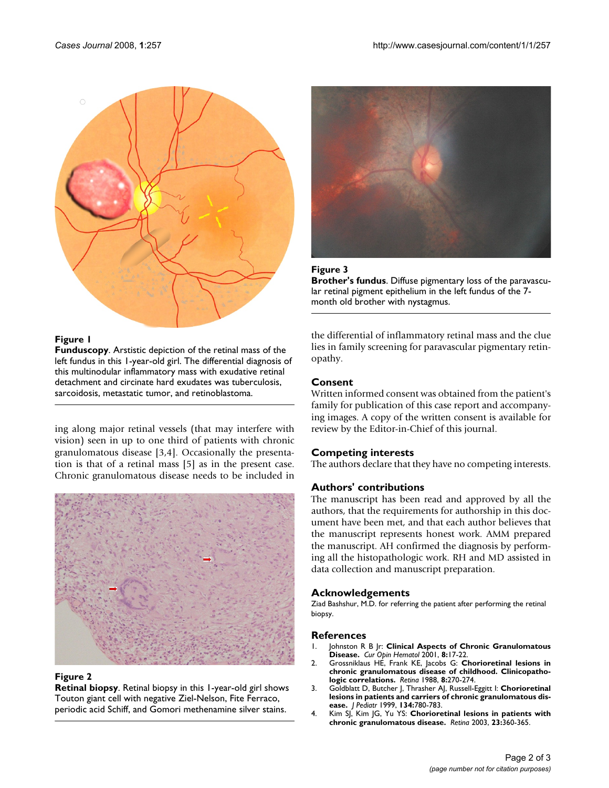

# **Figure 1**

**Funduscopy**. Arstistic depiction of the retinal mass of the left fundus in this 1-year-old girl. The differential diagnosis of this multinodular inflammatory mass with exudative retinal detachment and circinate hard exudates was tuberculosis, sarcoidosis, metastatic tumor, and retinoblastoma.

ing along major retinal vessels (that may interfere with vision) seen in up to one third of patients with chronic granulomatous disease [3,4]. Occasionally the presentation is that of a retinal mass [5] as in the present case. Chronic granulomatous disease needs to be included in



# **Figure 2**

**Retinal biopsy**. Retinal biopsy in this 1-year-old girl shows Touton giant cell with negative Ziel-Nelson, Fite Ferraco, periodic acid Schiff, and Gomori methenamine silver stains.





**Brother's fundus**. Diffuse pigmentary loss of the paravascular retinal pigment epithelium in the left fundus of the 7 month old brother with nystagmus.

the differential of inflammatory retinal mass and the clue lies in family screening for paravascular pigmentary retinopathy.

# **Consent**

Written informed consent was obtained from the patient's family for publication of this case report and accompanying images. A copy of the written consent is available for review by the Editor-in-Chief of this journal.

# **Competing interests**

The authors declare that they have no competing interests.

# **Authors' contributions**

The manuscript has been read and approved by all the authors, that the requirements for authorship in this document have been met, and that each author believes that the manuscript represents honest work. AMM prepared the manuscript. AH confirmed the diagnosis by performing all the histopathologic work. RH and MD assisted in data collection and manuscript preparation.

# **Acknowledgements**

Ziad Bashshur, M.D. for referring the patient after performing the retinal biopsy.

# **References**

- 1. Johnston R B Jr: **Clinical Aspects of Chronic Granulomatous Disease.** *Cur Opin Hematol* 2001, **8:**17-22.
- 2. Grossniklaus HE, Frank KE, Jacobs G: **[Chorioretinal lesions in](http://www.ncbi.nlm.nih.gov/entrez/query.fcgi?cmd=Retrieve&db=PubMed&dopt=Abstract&list_uids=3231919) [chronic granulomatous disease of childhood. Clinicopatho](http://www.ncbi.nlm.nih.gov/entrez/query.fcgi?cmd=Retrieve&db=PubMed&dopt=Abstract&list_uids=3231919)[logic correlations.](http://www.ncbi.nlm.nih.gov/entrez/query.fcgi?cmd=Retrieve&db=PubMed&dopt=Abstract&list_uids=3231919)** *Retina* 1988, **8:**270-274.
- 3. Goldblatt D, Butcher J, Thrasher AJ, Russell-Eggitt I: **[Chorioretinal](http://www.ncbi.nlm.nih.gov/entrez/query.fcgi?cmd=Retrieve&db=PubMed&dopt=Abstract&list_uids=10356152) [lesions in patients and carriers of chronic granulomatous dis](http://www.ncbi.nlm.nih.gov/entrez/query.fcgi?cmd=Retrieve&db=PubMed&dopt=Abstract&list_uids=10356152)[ease.](http://www.ncbi.nlm.nih.gov/entrez/query.fcgi?cmd=Retrieve&db=PubMed&dopt=Abstract&list_uids=10356152)** *J Pediatr* 1999, **134:**780-783.
- 4. Kim SJ, Kim JG, Yu YS: **[Chorioretinal lesions in patients with](http://www.ncbi.nlm.nih.gov/entrez/query.fcgi?cmd=Retrieve&db=PubMed&dopt=Abstract&list_uids=12824837) [chronic granulomatous disease.](http://www.ncbi.nlm.nih.gov/entrez/query.fcgi?cmd=Retrieve&db=PubMed&dopt=Abstract&list_uids=12824837)** *Retina* 2003, **23:**360-365.